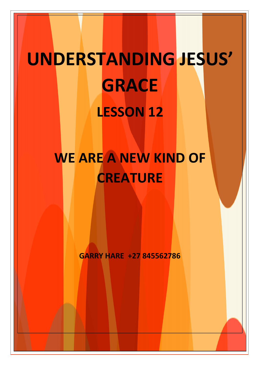# **UNDERSTANDING JESUS' GRACE LESSON 12**

## **WE ARE A NEW KIND OF CREATURE**

**GARRY HARE +27 845562786**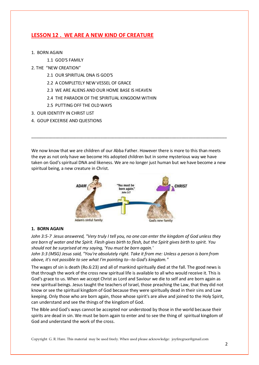### **LESSON 12 . WE ARE A NEW KIND OF CREATURE**

- 1. BORN AGAIN
	- 1.1 GOD'S FAMILY
- 2. THE "NEW CREATION"
	- 2.1 OUR SPIRITUAL DNA IS GOD'S
	- 2.2 A COMPLETELY NEW VESSEL OF GRACE
	- 2.3 WE ARE ALIENS AND OUR HOME BASE IS HEAVEN
	- 2.4 THE PARADOX OF THE SPIRITUAL KINGDOM WITHIN
	- 2.5 PUTTING OFF THE OLD WAYS
- 3. OUR IDENTITY IN CHRIST LIST
- 4. GOUP EXCERISE AND QUESTIONS

We now know that we are children of our Abba Father. However there is more to this than meets the eye as not only have we become His adopted children but in some mysterious way we have taken on God's spiritual DNA and likeness. We are no longer just human but we have become a new spiritual being, a new creature in Christ.

\_\_\_\_\_\_\_\_\_\_\_\_\_\_\_\_\_\_\_\_\_\_\_\_\_\_\_\_\_\_\_\_\_\_\_\_\_\_\_\_\_\_\_\_\_\_\_\_\_\_\_\_\_\_\_\_\_\_\_\_\_\_\_\_\_\_\_\_\_\_\_\_\_\_\_\_\_\_\_\_\_\_



#### **1. BORN AGAIN**

*John 3:5-7 Jesus answered, "Very truly I tell you, no one can enter the kingdom of God unless they are born of water and the Spirit. Flesh gives birth to flesh, but the Spirit gives birth to spirit. You should not be surprised at my saying, 'You must be born again.'*

*John 3:3 (MSG) Jesus said, "You're absolutely right. Take it from me: Unless a person is born from above, it's not possible to see what I'm pointing to--to God's kingdom."* 

The wages of sin is death (Ro.6:23) and all of mankind spiritually died at the fall. The good news is that through the work of the cross new spiritual life is available to all who would receive it. This is God's grace to us. When we accept Christ as Lord and Saviour we die to self and are born again as new spiritual beings. Jesus taught the teachers of Israel, those preaching the Law, that they did not know or see the spiritual kingdom of God because they were spiritually dead in their sins and Law keeping. Only those who are born again, those whose spirit's are alive and joined to the Holy Spirit, can understand and see the things of the kingdom of God.

The Bible and God's ways cannot be accepted nor understood by those in the world because their spirits are dead in sin. We must be born again to enter and to see the thing of spiritual kingdom of God and understand the work of the cross.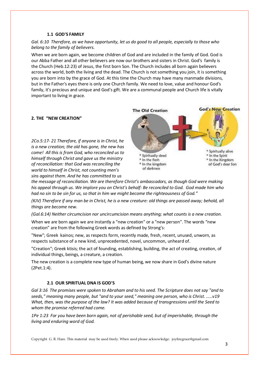#### **1.1 GOD'S FAMILY**

*Gal. 6:10 Therefore, as we have opportunity, let us do good to all people, especially to those who belong to the family of believers.* 

When we are born again, we become children of God and are included in the family of God. God is our Abba Father and all other believers are now our brothers and sisters in Christ. God's family is the Church (Heb.12:23) of Jesus, the first born Son. The Church includes all born again believers across the world, both the living and the dead. The Church is not something you join, it is something you are born into by the grace of God. At this time the Church may have many manmade divisions, but in the Father's eyes there is only one Church family. We need to love, value and honour God's family, it's precious and unique and God's gift. We are a communal people and Church life is vitally important to living in grace.

#### **2. THE "NEW CREATION"**

*2Co.5:17- 21 Therefore, if anyone is in Christ, he is a new creation; the old has gone, the new has come! All this is from God, who reconciled us to himself through Christ and gave us the ministry of reconciliation: that God was reconciling the world to himself in Christ, not counting men's sins against them. And he has committed to us* 



*the message of reconciliation. We are therefore Christ's ambassadors, as though God were making his appeal through us. We implore you on Christ's behalf: Be reconciled to God. God made him who had no sin to be sin for us, so that in him we might become the righteousness of God."*

*(KJV) Therefore if any man be in Christ, he is a new creature: old things are passed away; behold, all things are become new.*

*(Gal.6:14) Neither circumcision nor uncircumcision means anything; what counts is a new creation.*

When we are born again we are instantly a "new creation" or a "new person". The words "new creation" are from the following Greek words as defined by Strong's:

"New"; Greek kainos; new, as respects form, recently made, fresh, recent, unused, unworn, as respects substance of a new kind, unprecedented, novel, uncommon, unheard of.

"Creation"; Greek ktisis; the act of founding, establishing, building, the act of creating, creation, of individual things, beings, a creature, a creation.

The new creation is a complete new type of human being, we now share in God's divine nature (2Pet.1:4).

#### **2.1 OUR SPIRITUAL DNA IS GOD'S**

*Gal 3:16 The promises were spoken to Abraham and to his seed. The Scripture does not say "and to seeds," meaning many people, but "and to your seed," meaning one person, who is Christ. .....v19 What, then, was the purpose of the law? It was added because of transgressions until the Seed to whom the promise referred had come.*

*1Pe 1:23 For you have been born again, not of perishable seed, but of imperishable, through the living and enduring word of God.*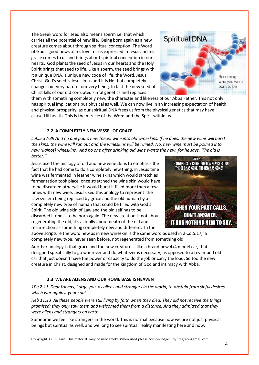The Greek word for seed also means sperm i.e. that which carries all the potential of new life. Being born again as a new creature comes about through spiritual conception. The Word of God's good news of his love for us expressed in Jesus and his grace comes to us and brings about spiritual conception in our hearts. God plants the seed of Jesus in our hearts and the Holy Spirit brings that seed to life. Like a sperm, the seed brings with it a unique DNA, a unique new code of life, the Word, Jesus Christ. God's seed is Jesus in us and it is He that completely changes our very nature, our very being. In fact the new seed of Christ kills of our old corrupted sinful genetics and replaces



them with something completely new; the character and likeness of our Abba Father. This not only has spiritual implications but physical as well. We can now live in an increasing expectation of health and physical prosperity as our spiritual DNA frees us from the physical genetics that may have caused ill health. This is the miracle of the Word and the Spirit within us.

#### **2.2 A COMPLETELY NEW VESSEL OF GRACE**

*Luk.5:37-39 And no one pours new (neos) wine into old wineskins. If he does, the new wine will burst the skins, the wine will run out and the wineskins will be ruined. No, new wine must be poured into new (kainos) wineskins. And no one after drinking old wine wants the new, for he says, 'The old is better.'"*

Jesus used the analogy of old and new wine skins to emphasis the fact that he had come to do a completely new thing. In Jesus time wine was fermented in leather wine skins which would stretch as fermentation took place, once stretched the wine skin would have to be discarded otherwise it would burst if filled more than a few times with new wine. Jesus used this analogy to represent the Law system being replaced by grace and the old human by a completely new type of human that could be filled with God's Spirit. The old wine skin of Law and the old self has to be discarded if one is to be born again. The new creation is not about regenerating the old, it's actually about death of the old and resurrection as something completely new and different. In the



above scripture the word new as in new wineskin is the same word as used in 2 Co.5:17; a completely new type, never seen before, not regenerated from something old.

Another analogy is that grace and the new creature is like a brand new 4x4 model car, that is designed specifically to go wherever and do whatever is necessary, as opposed to a revamped old car that just doesn't have the power or capacity to do the job or carry the load. So too the new creature in Christ, designed and made for the kingdom of God and intimacy with Abba.

#### **2.3 WE ARE ALIENS AND OUR HOME BASE IS HEAVEN**

*1Pe 2:11 Dear friends, I urge you, as aliens and strangers in the world, to abstain from sinful desires, which war against your soul.* 

*Heb 11:13 All these people were still living by faith when they died. They did not receive the things promised; they only saw them and welcomed them from a distance. And they admitted that they were aliens and strangers on earth.* 

Sometime we feel like strangers in the world. This is normal because now we are not just physical beings but spiritual as well, and we long to see spiritual reality manifesting here and now.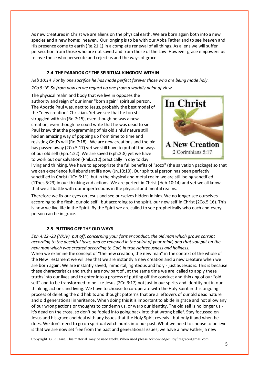As new creatures in Christ we are aliens on the physical earth. We are born again both into a new species and a new home; heaven. Our longing is to be with our Abba Father and to see heaven and His presence come to earth (Re.21:1) in a complete renewal of all things. As aliens we will suffer persecution from those who are not saved and from those of the Law. However grace empowers us to love those who persecute and reject us and the ways of grace.

#### **2.4 THE PARADOX OF THE SPIRITUAL KINGDOM WITHIN**

*Heb 10:14 For by one sacrifice he has made perfect forever those who are being made holy. 2Co 5:16 So from now on we regard no one from a worldly point of view*

The physical realm and body that we live in opposes the authority and reign of our inner "born again" spiritual person. The Apostle Paul was, next to Jesus, probably the best model of the "new creation" Christian. Yet we see that he too still struggled with sin (Ro.7:15), even though he was a new creation, even though he could write that he was dead to sin. Paul knew that the programming of his old sinful nature still had an amazing way of popping up from time to time and resisting God's will (Ro.7:18). We are new creations and the old has passed away (2Co.5:17) yet we still have to put off the ways of our old self (Eph.4:22). We are saved (Eph.2:8) yet we have to work out our salvation (Phil.2:12) practically in day to day



living and thinking. We have to appropriate the full benefits of "sozo" (the salvation package) so that we can experience full abundant life now (Jn.10:10). Our spiritual person has been perfectly sanctified in Christ (1Co.6:11) but in the physical and metal realm we are still being sanctified (1Thes.5:23) in our thinking and actions. We are perfect in Christ (Heb.10:14) and yet we all know that we all battle with our imperfections in the physical and mental realms.

Therefore we fix our eyes on Jesus and see ourselves hidden in him. We no longer see ourselves according to the flesh, our old self, but according to the spirit, our new self in Christ (2Co.5:16). This is how we live life in the Spirit. By the Spirit we are called to see prophetically who each and every person can be in grace.

#### **2.5 PUTTING OFF THE OLD WAYS**

*Eph.4:22 -23 (NKJV) put off, concerning your former conduct, the old man which grows corrupt according to the deceitful lusts, and be renewed in the spirit of your mind, and that you put on the new man which was created according to God, in true righteousness and holiness.*  When we examine the concept of "the new creation, the new man" in the context of the whole of the New Testament we will see that we are instantly a new creation and a new creature when we are born again. We are instantly saved, immortal, righteous and holy - just as Jesus is. This is because these characteristics and truths are now part of , at the same time we are called to apply these truths into our lives and to enter into a process of putting off the conduct and thinking of our "old self" and to be transformed to be like Jesus (2Co.3:17) not just in our spirits and identity but in our thinking, actions and living. We have to choose to co-operate with the Holy Spirit in this ongoing process of deleting the old habits and thought patterns that are a leftovers of our old dead nature and old generational inheritance. When doing this it is important to abide in grace and not allow any of our wrong actions or thoughts to condemn us, or warp our identity. The old self is no longer us it's dead on the cross, so don't be fooled into going back into that wrong belief. Stay focussed on Jesus and his grace and deal with any issues that the Holy Spirit reveals - but only if and when he does. We don't need to go on spiritual witch hunts into our past. What we need to choose to believe is that we are now set free from the past and generational issues, we have a new Father, a new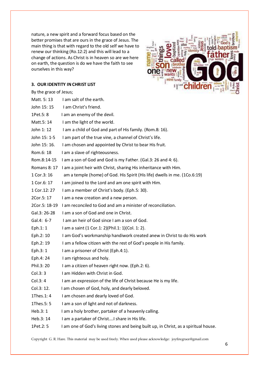nature, a new spirit and a forward focus based on the better promises that are ours in the grace of Jesus. The main thing is that with regard to the old self we have to renew our thinking (Ro.12:2) and this will lead to a change of actions. As Christ is in heaven so are we here on earth, the question is do we have the faith to see ourselves in this way?

#### **3. OUR IDENTITY IN CHRIST LIST**



| By the grace of Jesus; |               |                                                                                      |
|------------------------|---------------|--------------------------------------------------------------------------------------|
|                        | Matt. 5: 13   | I am salt of the earth.                                                              |
|                        | John 15: 15   | I am Christ's friend.                                                                |
|                        | 1Pet.5: 8     | I am an enemy of the devil.                                                          |
|                        | Matt.5: 14    | I am the light of the world.                                                         |
|                        | John 1: 12    | I am a child of God and part of His family. (Rom.8: 16).                             |
|                        | John 15: 1-5  | I am part of the true vine, a channel of Christ's life.                              |
|                        | John 15: 16.  | I am chosen and appointed by Christ to bear His fruit.                               |
|                        | Rom.6: 18     | I am a slave of righteousness.                                                       |
|                        | Rom.8:14-15   | I am a son of God and God is my Father. (Gal.3: 26 and 4: 6).                        |
|                        | Romans 8: 17  | I am a joint heir with Christ, sharing His inheritance with Him.                     |
|                        | 1 Cor.3: 16   | am a temple (home) of God. His Spirit (His life) dwells in me. (1Co.6:19)            |
|                        | 1 Cor.6: 17   | I am joined to the Lord and am one spirit with Him.                                  |
|                        | 1 Cor.12: 27  | I am a member of Christ's body. (Eph.5: 30).                                         |
|                        | 2Cor.5: 17    | I am a new creation and a new person.                                                |
|                        | 2Cor.5: 18-19 | I am reconciled to God and am a minister of reconciliation.                          |
|                        | Gal.3: 26-28  | I am a son of God and one in Christ.                                                 |
|                        | Gal.4: 6-7    | I am an heir of God since I am a son of God.                                         |
|                        | Eph.1: $1$    | I am a saint (1 Cor.1: 2)(Phil.1: 1)(Col. 1: 2).                                     |
|                        | Eph.2: 10     | I am God's workmanship handiwork created anew in Christ to do His work               |
|                        | Eph.2: 19     | I am a fellow citizen with the rest of God's people in His family.                   |
|                        | Eph.3: 1      | I am a prisoner of Christ (Eph.4:1).                                                 |
|                        | Eph.4: 24     | I am righteous and holy.                                                             |
|                        | Phil.3: 20    | I am a citizen of heaven right now. (Eph.2: 6).                                      |
|                        | Col.3:3       | I am Hidden with Christ in God.                                                      |
|                        | Col.3: 4      | I am an expression of the life of Christ because He is my life.                      |
|                        | Col.3: 12.    | I am chosen of God, holy, and dearly beloved.                                        |
|                        | 1Thes.1: 4    | I am chosen and dearly loved of God.                                                 |
|                        | 1Thes.5: 5    | I am a son of light and not of darkness.                                             |
|                        | Heb.3: 1      | I am a holy brother, partaker of a heavenly calling.                                 |
|                        | Heb.3: 14     | I am a partaker of ChristI share in His life.                                        |
|                        | 1Pet.2: 5     | I am one of God's living stones and being built up, in Christ, as a spiritual house. |